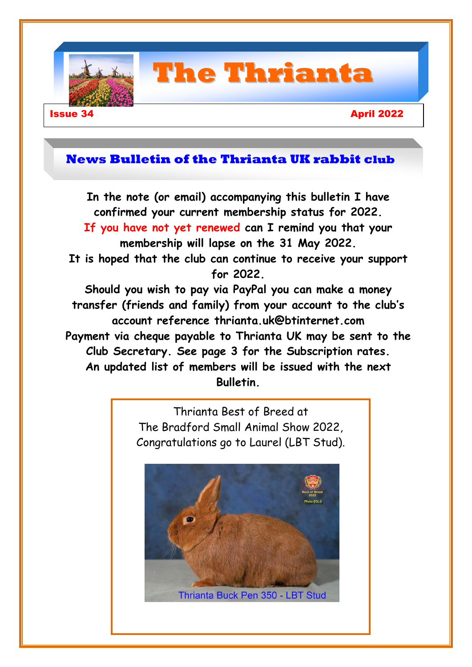

# **The Thrianta**

### **Issue 34** April 2022

## **News Bulletin of the Thrianta UK rabbit club**

**In the note (or email) accompanying this bulletin I have confirmed your current membership status for 2022. If you have not yet renewed can I remind you that your membership will lapse on the 31 May 2022. It is hoped that the club can continue to receive your support for 2022. Should you wish to pay via PayPal you can make a money transfer (friends and family) from your account to the club's account reference [thrianta.uk@btinternet.com](mailto:thrianta.uk@btinternet.com) Payment via cheque payable to Thrianta UK may be sent to the Club Secretary. See page 3 for the Subscription rates. An updated list of members will be issued with the next Bulletin.**

> Thrianta Best of Breed at The Bradford Small Animal Show 2022, Congratulations go to Laurel (LBT Stud).



1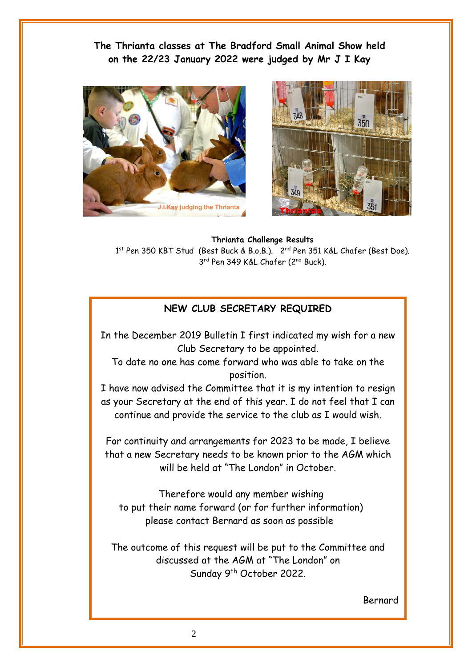**The Thrianta classes at The Bradford Small Animal Show held on the 22/23 January 2022 were judged by Mr J I Kay** 





**Thrianta Challenge Results** 1<sup>st</sup> Pen 350 KBT Stud (Best Buck & B.o.B.). 2<sup>nd</sup> Pen 351 K&L Chafer (Best Doe). 3<sup>rd</sup> Pen 349 K&L Chafer (2<sup>nd</sup> Buck).

### **NEW CLUB SECRETARY REQUIRED**

In the December 2019 Bulletin I first indicated my wish for a new Club Secretary to be appointed.

To date no one has come forward who was able to take on the position.

I have now advised the Committee that it is my intention to resign as your Secretary at the end of this year. I do not feel that I can continue and provide the service to the club as I would wish.

For continuity and arrangements for 2023 to be made, I believe that a new Secretary needs to be known prior to the AGM which will be held at "The London" in October.

 Therefore would any member wishing to put their name forward (or for further information) please contact Bernard as soon as possible

**Club Committee** The outcome of this request will be put to the Committee and discussed at the AGM at "The London" on Sunday 9<sup>th</sup> October 2022.

Bernard